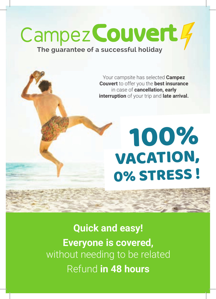# Campez Couvert 4

### **The guarantee of a successful holiday**

Your campsite has selected **Campez Couvert** to offer you the **best insurance** in case of **cancellation, early interruption** of your trip and **late arrival.**

## 100% VACATION, 0% STRESS !

**Quick and easy! Everyone is covered,** without needing to be related Refund **in 48 hours**